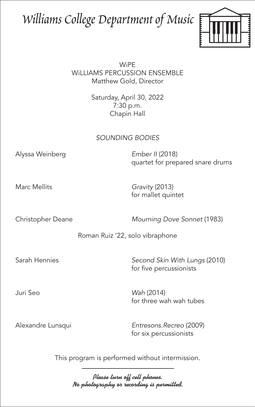## Williams College Department of Music



**WiPF** WiLLIAMS PERCUSSION ENSEMBLE Matthew Gold, Director

> Saturday, April 30, 2022 7:30 p.m. Chapin Hall

## *SOUNDING BODIES*

Alyssa Weinberg *Ember II* (2018)

quartet for prepared snare drums

Marc Mellits *Gravity* (2013) for mallet quintet

Christopher Deane *Mourning Dove Sonnet* (1983)

Roman Ruiz '22, solo vibraphone

Sarah Hennies *Second Skin With Lungs* (2010) for five percussionists

Juri Seo *Wah* (2014) for three wah wah tubes

Alexandre Lunsqui *Entresons.Recreo* (2009) for six percussionists

This program is performed without intermission.

Please turn off cell phones. No photography or recording is permitted.